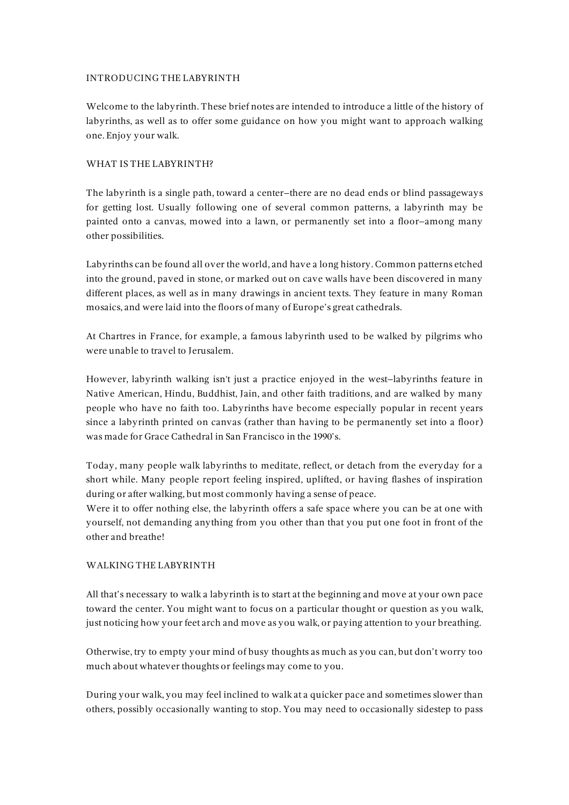## INTRODUCING THE LABYRINTH

Welcome to the labyrinth. These brief notes are intended to introduce a little of the history of labyrinths, as well as to offer some guidance on how you might want to approach walking one. Enjoy your walk.

## WHAT IS THE LABYRINTH?

The labyrinth is a single path, toward a center–there are no dead ends or blind passageways for getting lost. Usually following one of several common patterns, a labyrinth may be painted onto a canvas, mowed into a lawn, or permanently set into a floor–among many other possibilities.

Labyrinths can be found all over the world, and have a long history. Common patterns etched into the ground, paved in stone, or marked out on cave walls have been discovered in many different places, as well as in many drawings in ancient texts. They feature in many Roman mosaics, and were laid into the floors of many of Europe's great cathedrals.

At Chartres in France, for example, a famous labyrinth used to be walked by pilgrims who were unable to travel to Jerusalem.

However, labyrinth walking isn't just a practice enjoyed in the west–labyrinths feature in Native American, Hindu, Buddhist, Jain, and other faith traditions, and are walked by many people who have no faith too. Labyrinths have become especially popular in recent years since a labyrinth printed on canvas (rather than having to be permanently set into a floor) was made for Grace Cathedral in San Francisco in the 1990's.

Today, many people walk labyrinths to meditate, reflect, or detach from the everyday for a short while. Many people report feeling inspired, uplifted, or having flashes of inspiration during or after walking, but most commonly having a sense of peace.

Were it to offer nothing else, the labyrinth offers a safe space where you can be at one with yourself, not demanding anything from you other than that you put one foot in front of the other and breathe!

#### WALKING THE LABYRINTH

All that's necessary to walk a labyrinth is to start at the beginning and move at your own pace toward the center. You might want to focus on a particular thought or question as you walk, just noticing how your feet arch and move as you walk, or paying attention to your breathing.

Otherwise, try to empty your mind of busy thoughts as much as you can, but don't worry too much about whatever thoughts or feelings may come to you.

During your walk, you may feel inclined to walk at a quicker pace and sometimes slower than others, possibly occasionally wanting to stop. You may need to occasionally sidestep to pass